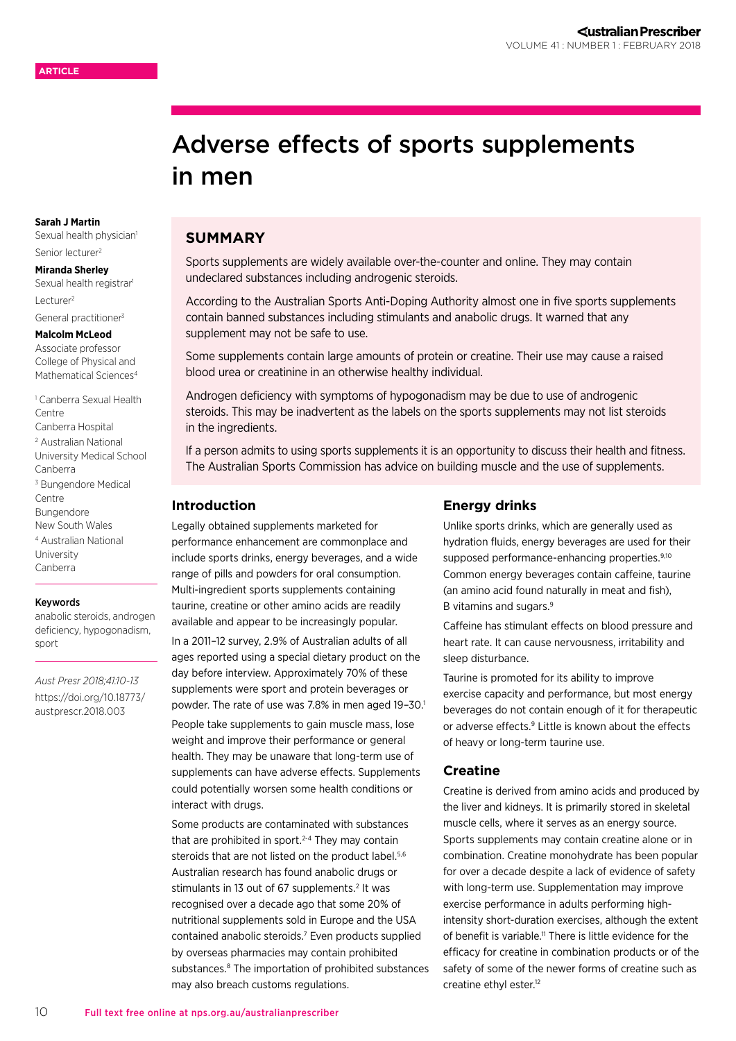# Adverse effects of sports supplements in men

# **SUMMARY**

Sports supplements are widely available over-the-counter and online. They may contain undeclared substances including androgenic steroids.

According to the Australian Sports Anti-Doping Authority almost one in five sports supplements contain banned substances including stimulants and anabolic drugs. It warned that any supplement may not be safe to use.

Some supplements contain large amounts of protein or creatine. Their use may cause a raised blood urea or creatinine in an otherwise healthy individual.

Androgen deficiency with symptoms of hypogonadism may be due to use of androgenic steroids. This may be inadvertent as the labels on the sports supplements may not list steroids in the ingredients.

If a person admits to using sports supplements it is an opportunity to discuss their health and fitness. The Australian Sports Commission has advice on building muscle and the use of supplements.

#### **Introduction**

Legally obtained supplements marketed for performance enhancement are commonplace and include sports drinks, energy beverages, and a wide range of pills and powders for oral consumption. Multi-ingredient sports supplements containing taurine, creatine or other amino acids are readily available and appear to be increasingly popular.

In a 2011–12 survey, 2.9% of Australian adults of all ages reported using a special dietary product on the day before interview. Approximately 70% of these supplements were sport and protein beverages or powder. The rate of use was 7.8% in men aged 19-30.<sup>1</sup>

People take supplements to gain muscle mass, lose weight and improve their performance or general health. They may be unaware that long-term use of supplements can have adverse effects. Supplements could potentially worsen some health conditions or interact with drugs.

Some products are contaminated with substances that are prohibited in sport. $2-4$  They may contain steroids that are not listed on the product label.<sup>5,6</sup> Australian research has found anabolic drugs or stimulants in 13 out of 67 supplements.<sup>2</sup> It was recognised over a decade ago that some 20% of nutritional supplements sold in Europe and the USA contained anabolic steroids.7 Even products supplied by overseas pharmacies may contain prohibited substances.<sup>8</sup> The importation of prohibited substances may also breach customs regulations.

## **Energy drinks**

Unlike sports drinks, which are generally used as hydration fluids, energy beverages are used for their supposed performance-enhancing properties.<sup>9,10</sup> Common energy beverages contain caffeine, taurine (an amino acid found naturally in meat and fish), B vitamins and sugars.9

Caffeine has stimulant effects on blood pressure and heart rate. It can cause nervousness, irritability and sleep disturbance.

Taurine is promoted for its ability to improve exercise capacity and performance, but most energy beverages do not contain enough of it for therapeutic or adverse effects.<sup>9</sup> Little is known about the effects of heavy or long-term taurine use.

# **Creatine**

Creatine is derived from amino acids and produced by the liver and kidneys. It is primarily stored in skeletal muscle cells, where it serves as an energy source. Sports supplements may contain creatine alone or in combination. Creatine monohydrate has been popular for over a decade despite a lack of evidence of safety with long-term use. Supplementation may improve exercise performance in adults performing highintensity short-duration exercises, although the extent of benefit is variable.<sup>11</sup> There is little evidence for the efficacy for creatine in combination products or of the safety of some of the newer forms of creatine such as creatine ethyl ester.<sup>12</sup>

#### **Sarah J Martin** Sexual health physician<sup>1</sup>

Senior lecturer2

# **Miranda Sherley**

Sexual health registrar<sup>1</sup> Lecturer<sup>2</sup>

General practitioner3

#### **Malcolm McLeod**

Associate professor College of Physical and Mathematical Sciences<sup>4</sup>

1 Canberra Sexual Health Centre Canberra Hospital 2 Australian National

University Medical School Canberra

3 Bungendore Medical Centre

Bungendore

New South Wales

4 Australian National University Canberra

sport

Keywords anabolic steroids, androgen deficiency, hypogonadism,

*Aust Presr 2018;41:10-13* [https://doi.org/10.18773/](https://doi.org/10.18773/austprescr.2018.003) [austprescr.2018.003](https://doi.org/10.18773/austprescr.2018.003)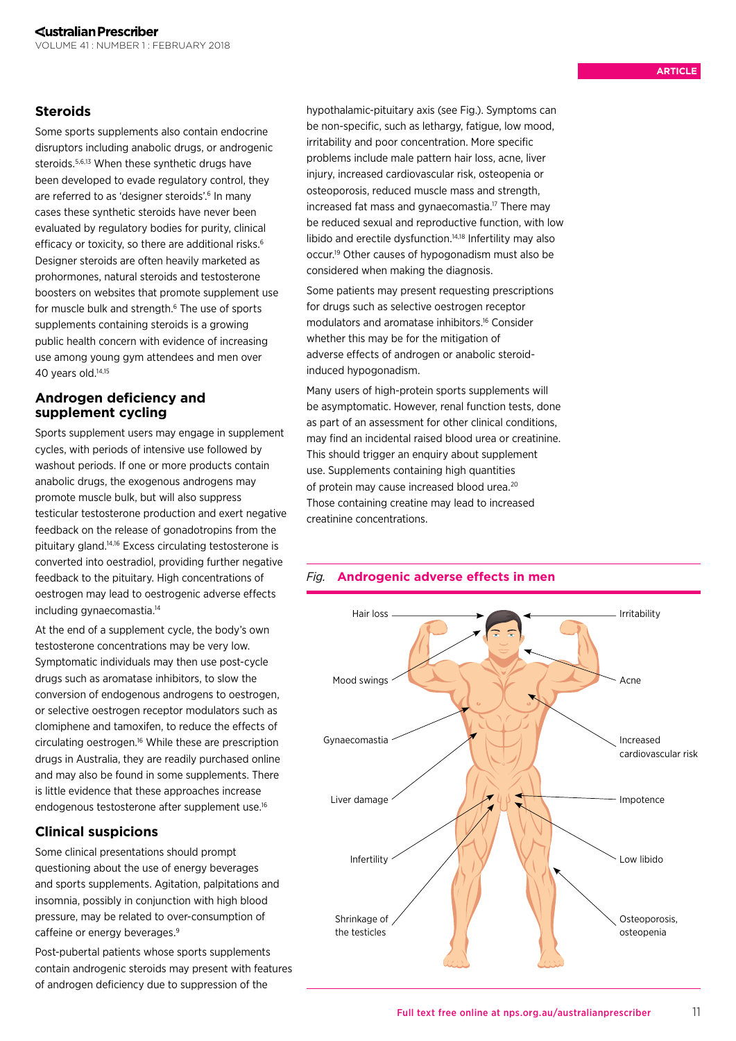# **Steroids**

Some sports supplements also contain endocrine disruptors including anabolic drugs, or androgenic steroids.5,6,13 When these synthetic drugs have been developed to evade regulatory control, they are referred to as 'designer steroids'.<sup>6</sup> In many cases these synthetic steroids have never been evaluated by regulatory bodies for purity, clinical efficacy or toxicity, so there are additional risks.<sup>6</sup> Designer steroids are often heavily marketed as prohormones, natural steroids and testosterone boosters on websites that promote supplement use for muscle bulk and strength.<sup>6</sup> The use of sports supplements containing steroids is a growing public health concern with evidence of increasing use among young gym attendees and men over 40 years old.<sup>14,15</sup>

# **Androgen deficiency and supplement cycling**

Sports supplement users may engage in supplement cycles, with periods of intensive use followed by washout periods. If one or more products contain anabolic drugs, the exogenous androgens may promote muscle bulk, but will also suppress testicular testosterone production and exert negative feedback on the release of gonadotropins from the pituitary gland.14,16 Excess circulating testosterone is converted into oestradiol, providing further negative feedback to the pituitary. High concentrations of oestrogen may lead to oestrogenic adverse effects including gynaecomastia.14

At the end of a supplement cycle, the body's own testosterone concentrations may be very low. Symptomatic individuals may then use post-cycle drugs such as aromatase inhibitors, to slow the conversion of endogenous androgens to oestrogen, or selective oestrogen receptor modulators such as clomiphene and tamoxifen, to reduce the effects of circulating oestrogen.16 While these are prescription drugs in Australia, they are readily purchased online and may also be found in some supplements. There is little evidence that these approaches increase endogenous testosterone after supplement use.16

# **Clinical suspicions**

Some clinical presentations should prompt questioning about the use of energy beverages and sports supplements. Agitation, palpitations and insomnia, possibly in conjunction with high blood pressure, may be related to over-consumption of caffeine or energy beverages.<sup>9</sup>

Post-pubertal patients whose sports supplements contain androgenic steroids may present with features of androgen deficiency due to suppression of the

hypothalamic-pituitary axis (see Fig.). Symptoms can be non-specific, such as lethargy, fatigue, low mood, irritability and poor concentration. More specific problems include male pattern hair loss, acne, liver injury, increased cardiovascular risk, osteopenia or osteoporosis, reduced muscle mass and strength, increased fat mass and gynaecomastia.<sup>17</sup> There may be reduced sexual and reproductive function, with low libido and erectile dysfunction.14,18 Infertility may also occur.19 Other causes of hypogonadism must also be considered when making the diagnosis.

Some patients may present requesting prescriptions for drugs such as selective oestrogen receptor modulators and aromatase inhibitors.16 Consider whether this may be for the mitigation of adverse effects of androgen or anabolic steroidinduced hypogonadism.

Many users of high-protein sports supplements will be asymptomatic. However, renal function tests, done as part of an assessment for other clinical conditions, may find an incidental raised blood urea or creatinine. This should trigger an enquiry about supplement use. Supplements containing high quantities of protein may cause increased blood urea.20 Those containing creatine may lead to increased creatinine concentrations.



# *Fig.* **Androgenic adverse effects in men**

11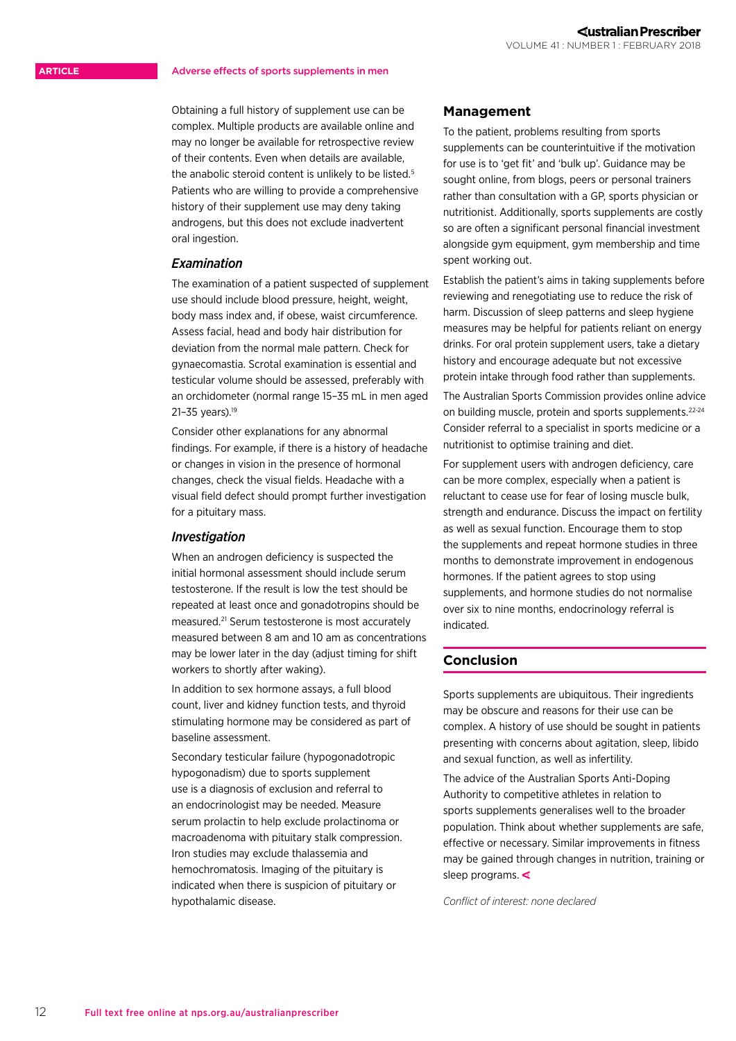#### Adverse effects of sports supplements in men

Obtaining a full history of supplement use can be complex. Multiple products are available online and may no longer be available for retrospective review of their contents. Even when details are available, the anabolic steroid content is unlikely to be listed.5 Patients who are willing to provide a comprehensive history of their supplement use may deny taking androgens, but this does not exclude inadvertent oral ingestion.

#### *Examination*

The examination of a patient suspected of supplement use should include blood pressure, height, weight, body mass index and, if obese, waist circumference. Assess facial, head and body hair distribution for deviation from the normal male pattern. Check for gynaecomastia. Scrotal examination is essential and testicular volume should be assessed, preferably with an orchidometer (normal range 15–35 mL in men aged 21–35 years).19

Consider other explanations for any abnormal findings. For example, if there is a history of headache or changes in vision in the presence of hormonal changes, check the visual fields. Headache with a visual field defect should prompt further investigation for a pituitary mass.

#### *Investigation*

When an androgen deficiency is suspected the initial hormonal assessment should include serum testosterone. If the result is low the test should be repeated at least once and gonadotropins should be measured.21 Serum testosterone is most accurately measured between 8 am and 10 am as concentrations may be lower later in the day (adjust timing for shift workers to shortly after waking).

In addition to sex hormone assays, a full blood count, liver and kidney function tests, and thyroid stimulating hormone may be considered as part of baseline assessment.

Secondary testicular failure (hypogonadotropic hypogonadism) due to sports supplement use is a diagnosis of exclusion and referral to an endocrinologist may be needed. Measure serum prolactin to help exclude prolactinoma or macroadenoma with pituitary stalk compression. Iron studies may exclude thalassemia and hemochromatosis. Imaging of the pituitary is indicated when there is suspicion of pituitary or hypothalamic disease.

#### **Management**

To the patient, problems resulting from sports supplements can be counterintuitive if the motivation for use is to 'get fit' and 'bulk up'. Guidance may be sought online, from blogs, peers or personal trainers rather than consultation with a GP, sports physician or nutritionist. Additionally, sports supplements are costly so are often a significant personal financial investment alongside gym equipment, gym membership and time spent working out.

Establish the patient's aims in taking supplements before reviewing and renegotiating use to reduce the risk of harm. Discussion of sleep patterns and sleep hygiene measures may be helpful for patients reliant on energy drinks. For oral protein supplement users, take a dietary history and encourage adequate but not excessive protein intake through food rather than supplements.

The Australian Sports Commission provides online advice on building muscle, protein and sports supplements.<sup>22-24</sup> Consider referral to a specialist in sports medicine or a nutritionist to optimise training and diet.

For supplement users with androgen deficiency, care can be more complex, especially when a patient is reluctant to cease use for fear of losing muscle bulk, strength and endurance. Discuss the impact on fertility as well as sexual function. Encourage them to stop the supplements and repeat hormone studies in three months to demonstrate improvement in endogenous hormones. If the patient agrees to stop using supplements, and hormone studies do not normalise over six to nine months, endocrinology referral is indicated.

## **Conclusion**

Sports supplements are ubiquitous. Their ingredients may be obscure and reasons for their use can be complex. A history of use should be sought in patients presenting with concerns about agitation, sleep, libido and sexual function, as well as infertility.

The advice of the Australian Sports Anti-Doping Authority to competitive athletes in relation to sports supplements generalises well to the broader population. Think about whether supplements are safe, effective or necessary. Similar improvements in fitness may be gained through changes in nutrition, training or sleep programs.  $\triangleleft$ 

*Conflict of interest: none declared*